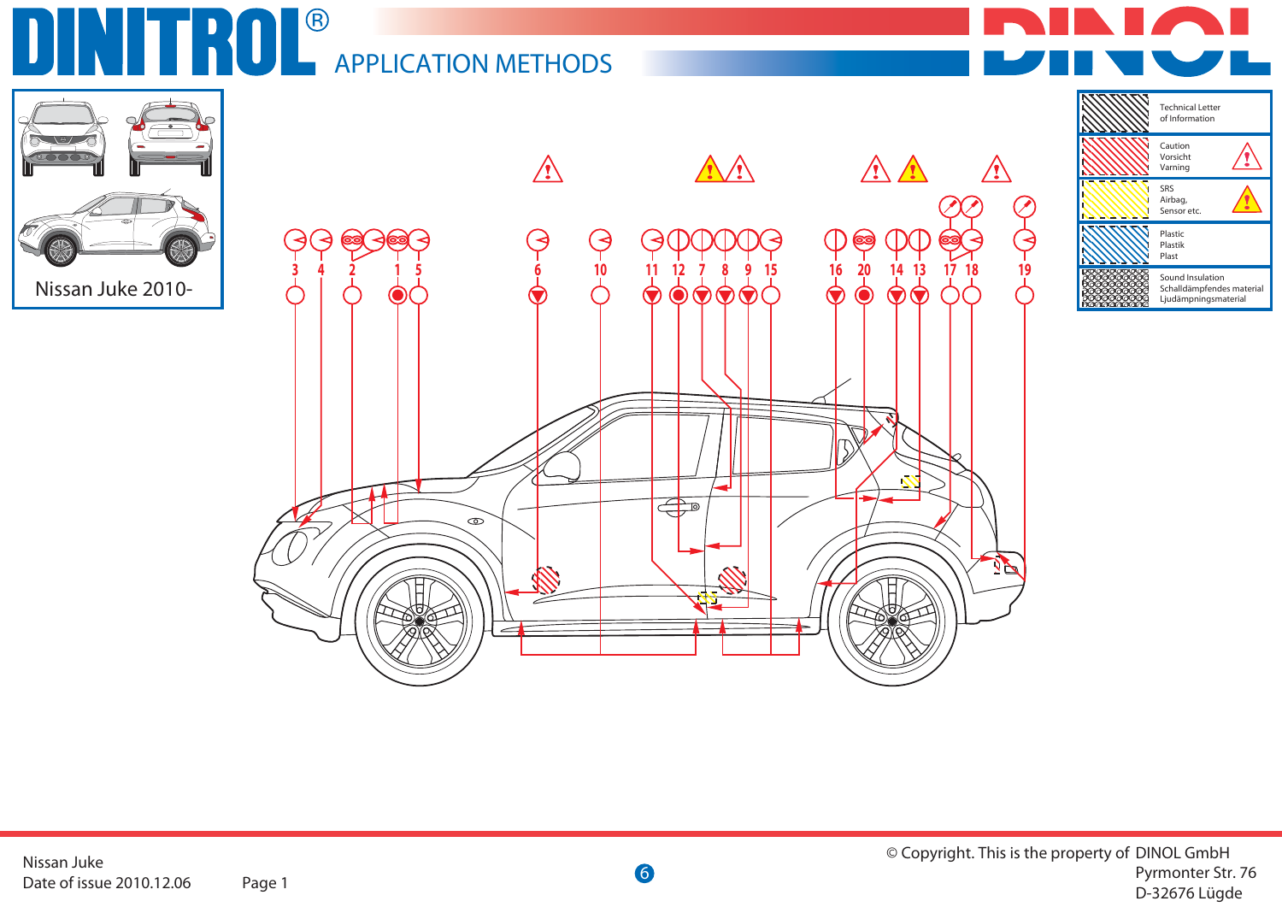



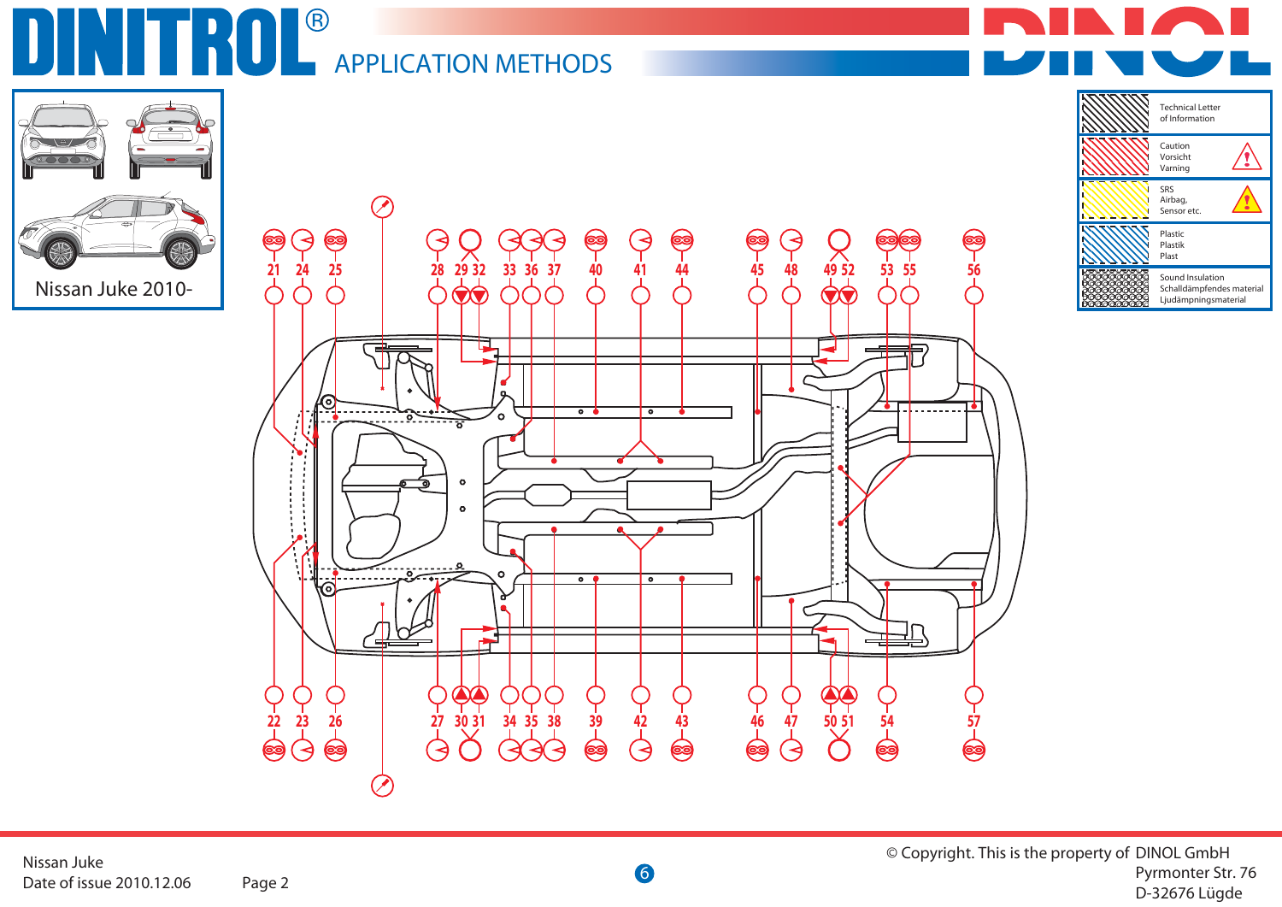Technical Letter of InformationCaution Vorsicht $\backslash\!\!\wr$  Varning SRS Airbag, Sensor etc. Ljudämpningsmaterial Nissan Juke 2010- PlasticŞ e)<br>T e € ලං 3 ලු  $\Theta$ Y Plastik Plast **21 24 25 28 29 32 33 36 37 40 41 44 45 48 49 52 53 55 56** Sound Insulation Schalldämpfendes material U 秉 <u>ବ୍</u>  $\overline{\phantom{a}}$  $\overline{\cdot}$ ັ໐່ ≂  $\bullet$  $\circ$  $\Omega$  $\circ$  $\overline{\cdot}$  $\overline{\bullet}$ а F. **22**<br>◎ **23 26 27 30 31 34 35 38 39 42 43 46 47 50 51 54 57** $\dot{\varphi}$  $\bigcirc$ 6 666  $\Theta$  $\Theta$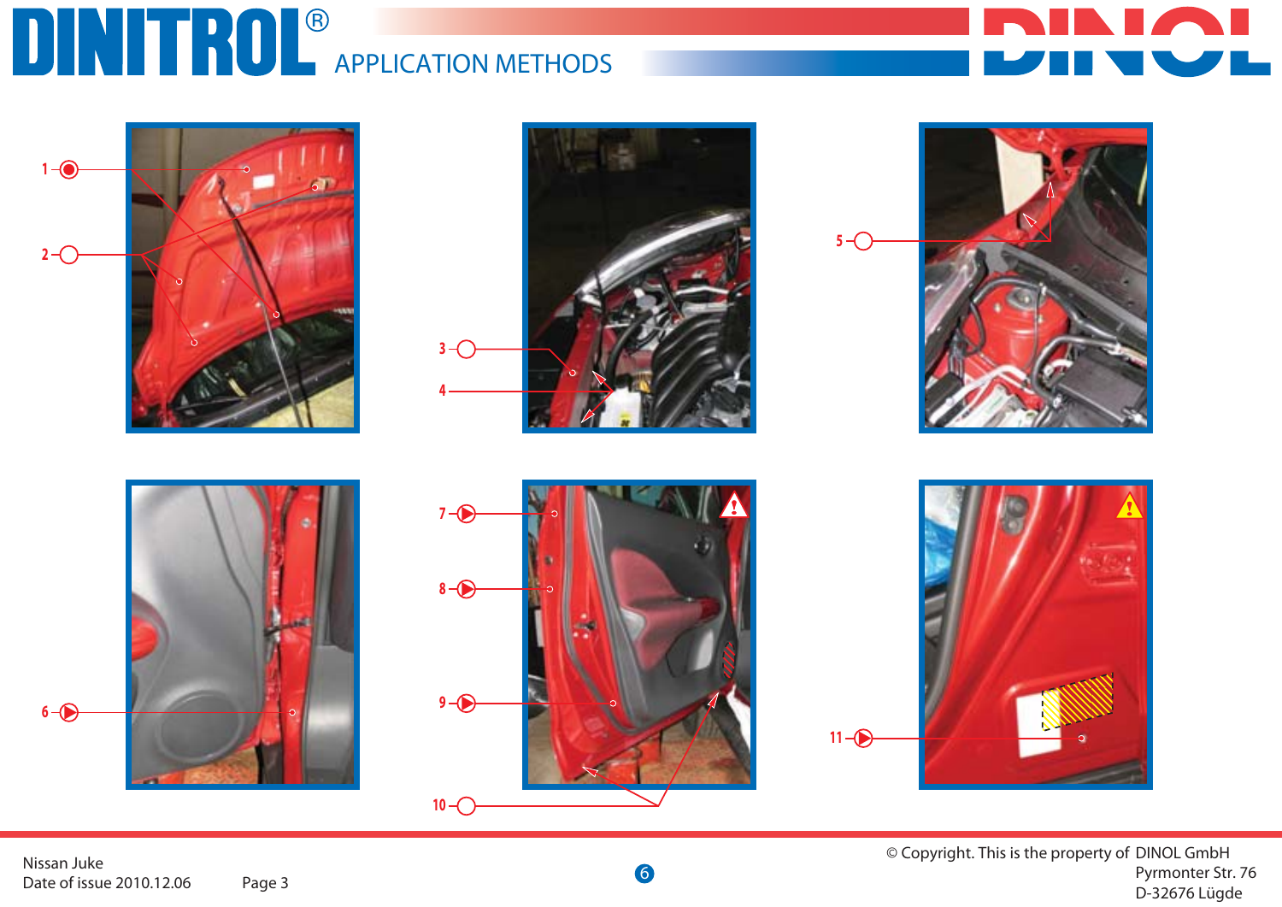



Nissan Juke Date of issue 2010.12.06 Page 3

 $\sim$  6  $\sim$